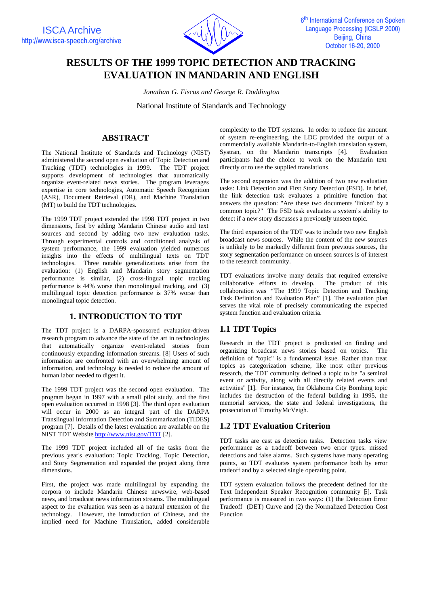

# **RESULTS OF THE 1999 TOPIC DETECTION AND TRACKING EVALUATION IN MANDARIN AND ENGLISH**

*Jonathan G. Fiscus and George R. Doddington*

National Institute of Standards and Technology

# **ABSTRACT**

The National Institute of Standards and Technology (NIST) administered the second open evaluation of Topic Detection and Tracking (TDT) technologies in 1999. The TDT project supports development of technologies that automatically organize event-related news stories. The program leverages expertise in core technologies, Automatic Speech Recognition (ASR), Document Retrieval (DR), and Machine Translation (MT) to build the TDT technologies.

The 1999 TDT project extended the 1998 TDT project in two dimensions, first by adding Mandarin Chinese audio and text sources and second by adding two new evaluation tasks. Through experimental controls and conditioned analysis of system performance, the 1999 evaluation yielded numerous insights into the effects of multilingual texts on TDT technologies. Three notable generalizations arise from the evaluation: (1) English and Mandarin story segmentation performance is similar, (2) cross-lingual topic tracking performance is 44% worse than monolingual tracking, and (3) multilingual topic detection performance is 37% worse than monolingual topic detection.

# **1. INTRODUCTION TO TDT**

The TDT project is a DARPA-sponsored evaluation-driven research program to advance the state of the art in technologies that automatically organize event-related stories from continuously expanding information streams. [8] Users of such information are confronted with an overwhelming amount of information, and technology is needed to reduce the amount of human labor needed to digest it.

The 1999 TDT project was the second open evaluation. The program began in 1997 with a small pilot study, and the first open evaluation occurred in 1998 [3]. The third open evaluation will occur in 2000 as an integral part of the DARPA Translingual Information Detection and Summarization (TIDES) program [7]. Details of the latest evaluation are available on the NIST TDT Website http://www.nist.gov/TDT [2].

The 1999 TDT project included all of the tasks from the previous year's evaluation: Topic Tracking, Topic Detection, and Story Segmentation and expanded the project along three dimensions.

First, the project was made multilingual by expanding the corpora to include Mandarin Chinese newswire, web-based news, and broadcast news information streams. The multilingual aspect to the evaluation was seen as a natural extension of the technology. However, the introduction of Chinese, and the implied need for Machine Translation, added considerable complexity to the TDT systems. In order to reduce the amount of system re-engineering, the LDC provided the output of a commercially available Mandarin-to-English translation system, Systran, on the Mandarin transcripts [4]. Evaluation participants had the choice to work on the Mandarin text directly or to use the supplied translations.

The second expansion was the addition of two new evaluation tasks: Link Detection and First Story Detection (FSD). In brief, the link detection task evaluates a primitive function that answers the question: "Are these two documents 'linked' by a common topic?" The FSD task evaluates a system's ability to detect if a new story discusses a previously unseen topic.

The third expansion of the TDT was to include two new English broadcast news sources. While the content of the new sources is unlikely to be markedly different from previous sources, the story segmentation performance on unseen sources is of interest to the research community.

TDT evaluations involve many details that required extensive collaborative efforts to develop. The product of this collaboration was "The 1999 Topic Detection and Tracking Task Definition and Evaluation Plan" [1]. The evaluation plan serves the vital role of precisely communicating the expected system function and evaluation criteria.

# **1.1 TDT Topics**

Research in the TDT project is predicated on finding and organizing broadcast news stories based on topics. The definition of "topic" is a fundamental issue. Rather than treat topics as categorization scheme, like most other previous research, the TDT community defined a topic to be "a seminal event or activity, along with all directly related events and activities" [1]. For instance, the Oklahoma City Bombing topic includes the destruction of the federal building in 1995, the memorial services, the state and federal investigations, the prosecution of Timothy McVeigh.

# **1.2 TDT Evaluation Criterion**

TDT tasks are cast as detection tasks. Detection tasks view performance as a tradeoff between two error types: missed detections and false alarms. Such systems have many operating points, so TDT evaluates system performance both by error tradeoff and by a selected single operating point.

TDT system evaluation follows the precedent defined for the Text Independent Speaker Recognition community [5]. Task performance is measured in two ways: (1) the Detection Error Tradeoff (DET) Curve and (2) the Normalized Detection Cost Function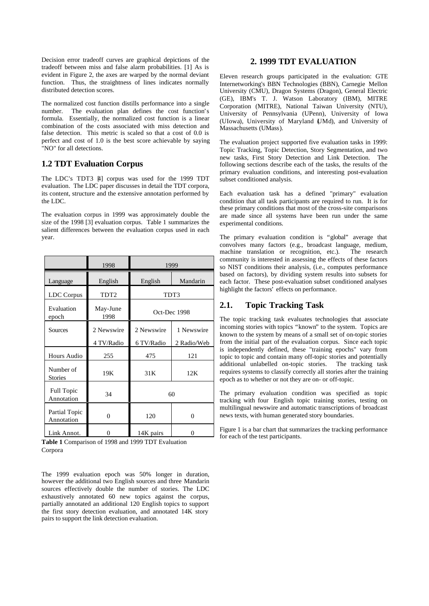Decision error tradeoff curves are graphical depictions of the tradeoff between miss and false alarm probabilities. [1] As is evident in Figure 2, the axes are warped by the normal deviant function. Thus, the straightness of lines indicates normally distributed detection scores.

The normalized cost function distills performance into a single number. The evaluation plan defines the cost function's formula. Essentially, the normalized cost function is a linear combination of the costs associated with miss detection and false detection. This metric is scaled so that a cost of 0.0 is perfect and cost of 1.0 is the best score achievable by saying "NO" for all detections.

### **1.2 TDT Evaluation Corpus**

The LDC's TDT3 <sup>[4]</sup> corpus was used for the 1999 TDT evaluation. The LDC paper discusses in detail the TDT corpora, its content, structure and the extensive annotation performed by the LDC.

The evaluation corpus in 1999 was approximately double the size of the 1998 [3] evaluation corpus. Table 1 summarizes the salient differences between the evaluation corpus used in each year.

|                             | 1998             | 1999         |             |
|-----------------------------|------------------|--------------|-------------|
| Language                    | English          | English      | Mandarin    |
| LDC Corpus                  | TDT <sub>2</sub> | TDT3         |             |
| Evaluation<br>epoch         | May-June<br>1998 | Oct-Dec 1998 |             |
| Sources                     | 2 Newswire       | 2 Newswire   | 1 Newswire  |
|                             | 4 TV/Radio       | 6 TV/Radio   | 2 Radio/Web |
| Hours Audio                 | 255              | 475          | 121         |
| Number of<br><b>Stories</b> | 19K              | 31K          | 12K         |
| Full Topic<br>Annotation    | 34               | 60           |             |
| Partial Topic<br>Annotation | $\theta$         | 120          | 0           |
| Link Annot.                 | 0                | 14K pairs    | $\Omega$    |

**Table 1** Comparison of 1998 and 1999 TDT Evaluation Corpora

The 1999 evaluation epoch was 50% longer in duration, however the additional two English sources and three Mandarin sources effectively double the number of stories. The LDC exhaustively annotated 60 new topics against the corpus, partially annotated an additional 120 English topics to support the first story detection evaluation, and annotated 14K story pairs to support the link detection evaluation.

### **2. 1999 TDT EVALUATION**

Eleven research groups participated in the evaluation: GTE Internetworking's BBN Technologies (BBN), Carnegie Mellon University (CMU), Dragon Systems (Dragon), General Electric (GE), IBM's T. J. Watson Laboratory (IBM), MITRE Corporation (MITRE), National Taiwan University (NTU), University of Pennsylvania (UPenn), University of Iowa (UIowa), University of Maryland (UMd), and University of Massachusetts (UMass).

The evaluation project supported five evaluation tasks in 1999: Topic Tracking, Topic Detection, Story Segmentation, and two new tasks, First Story Detection and Link Detection. The following sections describe each of the tasks, the results of the primary evaluation conditions, and interesting post-evaluation subset conditioned analysis.

Each evaluation task has a defined "primary" evaluation condition that all task participants are required to run. It is for these primary conditions that most of the cross-site comparisons are made since all systems have been run under the same experimental conditions.

The primary evaluation condition is "global" average that convolves many factors (e.g., broadcast language, medium, machine translation or recognition, etc.). The research community is interested in assessing the effects of these factors so NIST conditions their analysis, (i.e., computes performance based on factors), by dividing system results into subsets for each factor. These post-evaluation subset conditioned analyses highlight the factors' effects on performance.

## **2.1. Topic Tracking Task**

The topic tracking task evaluates technologies that associate incoming stories with topics "known" to the system. Topics are known to the system by means of a small set of on-topic stories from the initial part of the evaluation corpus. Since each topic is independently defined, these "training epochs" vary from topic to topic and contain many off-topic stories and potentially additional unlabelled on-topic stories. The tracking task requires systems to classify correctly all stories after the training epoch as to whether or not they are on- or off-topic.

The primary evaluation condition was specified as topic tracking with four English topic training stories, testing on multilingual newswire and automatic transcriptions of broadcast news texts, with human generated story boundaries.

Figure 1 is a bar chart that summarizes the tracking performance for each of the test participants.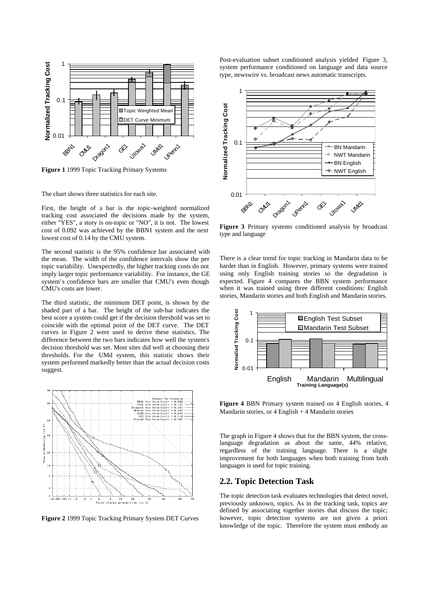

**Figure 1** 1999 Topic Tracking Primary Systems

The chart shows three statistics for each site.

First, the height of a bar is the topic-weighted normalized tracking cost associated the decisions made by the system, either "YES", a story is on-topic or "NO", it is not. The lowest cost of 0.092 was achieved by the BBN1 system and the next lowest cost of 0.14 by the CMU system.

The second statistic is the 95% confidence bar associated with the mean. The width of the confidence intervals show the per topic variability. Unexpectedly, the higher tracking costs do not imply larger topic performance variability. For instance, the GE system's confidence bars are smaller that CMU's even though CMU's costs are lower.

The third statistic, the minimum DET point, is shown by the shaded part of a bar. The height of the sub-bar indicates the best score a system could get if the decision threshold was set to coincide with the optimal point of the DET curve. The DET curves in Figure 2 were used to derive these statistics. The difference between the two bars indicates how well the system's decision threshold was set. Most sites did well at choosing their thresholds. For the UMd system, this statistic shows their system performed markedly better than the actual decision costs suggest.



**Figure 2** 1999 Topic Tracking Primary System DET Curves

Post-evaluation subset conditioned analysis yielded Figure 3, system performance conditioned on language and data source type, newswire vs. broadcast news automatic transcripts.



**Figure 3** Primary systems conditioned analysis by broadcast type and language

There is a clear trend for topic tracking in Mandarin data to be harder than in English. However, primary systems were trained using only English training stories so the degradation is expected. Figure 4 compares the BBN system performance when it was trained using three different conditions: English stories, Mandarin stories and both English and Mandarin stories.



**Figure 4** BBN Primary system trained on 4 English stories, 4 Mandarin stories, or 4 English + 4 Mandarin stories

The graph in Figure 4 shows that for the BBN system, the crosslanguage degradation as about the same, 44% relative, regardless of the training language. There is a slight improvement for both languages when both training from both languages is used for topic training.

#### **2.2. Topic Detection Task**

The topic detection task evaluates technologies that detect novel, previously unknown, topics. As in the tracking task, topics are defined by associating together stories that discuss the topic; however, topic detection systems are not given a priori knowledge of the topic. Therefore the system must embody an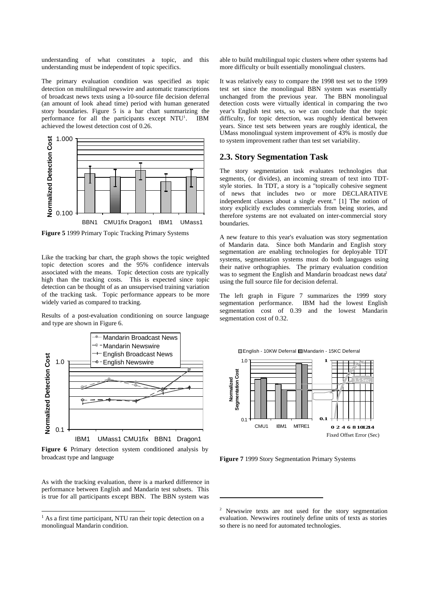understanding of what constitutes a topic, and this understanding must be independent of topic specifics.

The primary evaluation condition was specified as topic detection on multilingual newswire and automatic transcriptions of broadcast news texts using a 10-source file decision deferral (an amount of look ahead time) period with human generated story boundaries. Figure 5 is a bar chart summarizing the performance for all the participants except  $NTU<sup>1</sup>$ . . IBM achieved the lowest detection cost of 0.26.



**Figure 5** 1999 Primary Topic Tracking Primary Systems

Like the tracking bar chart, the graph shows the topic weighted topic detection scores and the 95% confidence intervals associated with the means. Topic detection costs are typically high than the tracking costs. This is expected since topic detection can be thought of as an unsupervised training variation of the tracking task. Topic performance appears to be more widely varied as compared to tracking.

Results of a post-evaluation conditioning on source language and type are shown in Figure 6.



**Figure 6** Primary detection system conditioned analysis by broadcast type and language

As with the tracking evaluation, there is a marked difference in performance between English and Mandarin test subsets. This is true for all participants except BBN. The BBN system was

 $\overline{a}$ 

able to build multilingual topic clusters where other systems had more difficulty or built essentially monolingual clusters.

It was relatively easy to compare the 1998 test set to the 1999 test set since the monolingual BBN system was essentially unchanged from the previous year. The BBN monolingual detection costs were virtually identical in comparing the two year's English test sets, so we can conclude that the topic difficulty, for topic detection, was roughly identical between years. Since test sets between years are roughly identical, the UMass monolingual system improvement of 43% is mostly due to system improvement rather than test set variability.

#### **2.3. Story Segmentation Task**

The story segmentation task evaluates technologies that segments, (or divides), an incoming stream of text into TDTstyle stories. In TDT, a story is a "topically cohesive segment of news that includes two or more DECLARATIVE independent clauses about a single event." [1] The notion of story explicitly excludes commercials from being stories, and therefore systems are not evaluated on inter-commercial story boundaries.

A new feature to this year's evaluation was story segmentation of Mandarin data. Since both Mandarin and English story segmentation are enabling technologies for deployable TDT systems, segmentation systems must do both languages using their native orthographies. The primary evaluation condition was to segment the English and Mandarin broadcast news data<sup>2</sup> using the full source file for decision deferral.

The left graph in Figure 7 summarizes the 1999 story segmentation performance. IBM had the lowest English segmentation cost of 0.39 and the lowest Mandarin segmentation cost of 0.32.



**Figure 7** 1999 Story Segmentation Primary Systems

 $\overline{\phantom{a}}$ 

 $<sup>1</sup>$  As a first time participant, NTU ran their topic detection on a</sup> monolingual Mandarin condition.

<sup>&</sup>lt;sup>2</sup> Newswire texts are not used for the story segmentation evaluation. Newswires routinely define units of texts as stories so there is no need for automated technologies.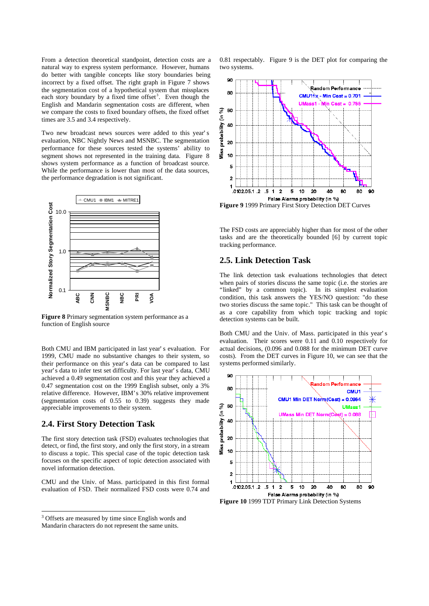From a detection theoretical standpoint, detection costs are a natural way to express system performance. However, humans do better with tangible concepts like story boundaries being incorrect by a fixed offset. The right graph in Figure 7 shows the segmentation cost of a hypothetical system that missplaces each story boundary by a fixed time offset<sup>3</sup>. Even though the English and Mandarin segmentation costs are different, when we compare the costs to fixed boundary offsets, the fixed offset times are 3.5 and 3.4 respectively.

Two new broadcast news sources were added to this year's evaluation, NBC Nightly News and MSNBC. The segmentation performance for these sources tested the systems' ability to segment shows not represented in the training data. Figure 8 shows system performance as a function of broadcast source. While the performance is lower than most of the data sources, the performance degradation is not significant.



**Figure 8** Primary segmentation system performance as a function of English source

Both CMU and IBM participated in last year's evaluation. For 1999, CMU made no substantive changes to their system, so their performance on this year's data can be compared to last year's data to infer test set difficulty. For last year's data, CMU achieved a 0.49 segmentation cost and this year they achieved a 0.47 segmentation cost on the 1999 English subset, only a 3% relative difference. However, IBM's 30% relative improvement (segmentation costs of 0.55 to 0.39) suggests they made appreciable improvements to their system.

#### **2.4. First Story Detection Task**

 $\overline{a}$ 

The first story detection task (FSD) evaluates technologies that detect, or find, the first story, and only the first story, in a stream to discuss a topic. This special case of the topic detection task focuses on the specific aspect of topic detection associated with novel information detection.

CMU and the Univ. of Mass. participated in this first formal evaluation of FSD. Their normalized FSD costs were 0.74 and 0.81 respectably. Figure 9 is the DET plot for comparing the two systems.



**Figure 9** 1999 Primary First Story Detection DET Curves

The FSD costs are appreciably higher than for most of the other tasks and are the theoretically bounded [6] by current topic tracking performance.

### **2.5. Link Detection Task**

The link detection task evaluations technologies that detect when pairs of stories discuss the same topic (i.e. the stories are "linked" by a common topic). In its simplest evaluation condition, this task answers the YES/NO question: "do these two stories discuss the same topic." This task can be thought of as a core capability from which topic tracking and topic detection systems can be built.

Both CMU and the Univ. of Mass. participated in this year's evaluation. Their scores were 0.11 and 0.10 respectively for actual decisions, (0.096 and 0.088 for the minimum DET curve costs). From the DET curves in Figure 10, we can see that the systems performed similarly.



<sup>&</sup>lt;sup>3</sup> Offsets are measured by time since English words and Mandarin characters do not represent the same units.